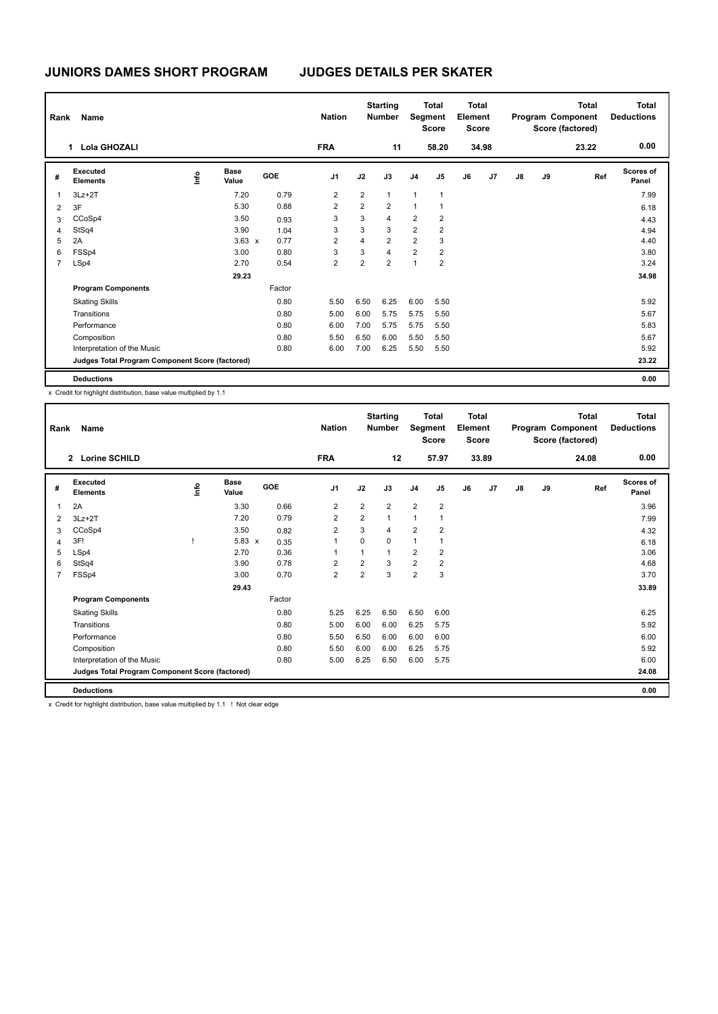| Rank           | Name<br>1.                                      |      |                      |        | <b>Nation</b>  |                | <b>Starting</b><br><b>Number</b> |                | <b>Total</b><br>Segment<br><b>Score</b> | Total<br>Element<br><b>Score</b> |       |    |    | <b>Total</b><br>Program Component<br>Score (factored) | <b>Total</b><br><b>Deductions</b> |
|----------------|-------------------------------------------------|------|----------------------|--------|----------------|----------------|----------------------------------|----------------|-----------------------------------------|----------------------------------|-------|----|----|-------------------------------------------------------|-----------------------------------|
|                | <b>Lola GHOZALI</b>                             |      |                      |        | <b>FRA</b>     |                | 11                               |                | 58.20                                   |                                  | 34.98 |    |    | 23.22                                                 | 0.00                              |
| #              | Executed<br><b>Elements</b>                     | ١nfo | <b>Base</b><br>Value | GOE    | J <sub>1</sub> | J2             | J3                               | J <sub>4</sub> | J <sub>5</sub>                          | J6                               | J7    | J8 | J9 | Ref                                                   | <b>Scores of</b><br>Panel         |
| 1              | $3Lz + 2T$                                      |      | 7.20                 | 0.79   | $\overline{2}$ | $\overline{2}$ | $\mathbf{1}$                     | 1              | $\mathbf{1}$                            |                                  |       |    |    |                                                       | 7.99                              |
| $\overline{2}$ | 3F                                              |      | 5.30                 | 0.88   | $\overline{2}$ | $\overline{2}$ | $\overline{2}$                   | $\overline{1}$ | 1                                       |                                  |       |    |    |                                                       | 6.18                              |
| 3              | CCoSp4                                          |      | 3.50                 | 0.93   | 3              | 3              | 4                                | $\overline{2}$ | $\overline{2}$                          |                                  |       |    |    |                                                       | 4.43                              |
| 4              | StSq4                                           |      | 3.90                 | 1.04   | 3              | 3              | 3                                | $\overline{2}$ | $\overline{2}$                          |                                  |       |    |    |                                                       | 4.94                              |
| 5              | 2A                                              |      | $3.63 \times$        | 0.77   | $\overline{2}$ | 4              | $\overline{2}$                   | $\overline{2}$ | 3                                       |                                  |       |    |    |                                                       | 4.40                              |
| 6              | FSSp4                                           |      | 3.00                 | 0.80   | 3              | 3              | $\overline{4}$                   | $\overline{2}$ | 2                                       |                                  |       |    |    |                                                       | 3.80                              |
| $\overline{7}$ | LSp4                                            |      | 2.70                 | 0.54   | $\overline{2}$ | 2              | $\overline{2}$                   | $\overline{ }$ | $\overline{2}$                          |                                  |       |    |    |                                                       | 3.24                              |
|                |                                                 |      | 29.23                |        |                |                |                                  |                |                                         |                                  |       |    |    |                                                       | 34.98                             |
|                | <b>Program Components</b>                       |      |                      | Factor |                |                |                                  |                |                                         |                                  |       |    |    |                                                       |                                   |
|                | <b>Skating Skills</b>                           |      |                      | 0.80   | 5.50           | 6.50           | 6.25                             | 6.00           | 5.50                                    |                                  |       |    |    |                                                       | 5.92                              |
|                | Transitions                                     |      |                      | 0.80   | 5.00           | 6.00           | 5.75                             | 5.75           | 5.50                                    |                                  |       |    |    |                                                       | 5.67                              |
|                | Performance                                     |      |                      | 0.80   | 6.00           | 7.00           | 5.75                             | 5.75           | 5.50                                    |                                  |       |    |    |                                                       | 5.83                              |
|                | Composition                                     |      |                      | 0.80   | 5.50           | 6.50           | 6.00                             | 5.50           | 5.50                                    |                                  |       |    |    |                                                       | 5.67                              |
|                | Interpretation of the Music                     |      |                      | 0.80   | 6.00           | 7.00           | 6.25                             | 5.50           | 5.50                                    |                                  |       |    |    |                                                       | 5.92                              |
|                | Judges Total Program Component Score (factored) |      |                      |        |                |                |                                  |                |                                         |                                  |       |    |    |                                                       | 23.22                             |
|                | <b>Deductions</b>                               |      |                      |        |                |                |                                  |                |                                         |                                  |       |    |    |                                                       | 0.00                              |

x Credit for highlight distribution, base value multiplied by 1.1

| Rank           | Name                                            |      |                      |        | <b>Nation</b>  |                | <b>Starting</b><br><b>Number</b> | Segment        | <b>Total</b><br><b>Score</b> | <b>Total</b><br>Element<br><b>Score</b> |                |    |    | <b>Total</b><br>Program Component<br>Score (factored) | <b>Total</b><br><b>Deductions</b> |
|----------------|-------------------------------------------------|------|----------------------|--------|----------------|----------------|----------------------------------|----------------|------------------------------|-----------------------------------------|----------------|----|----|-------------------------------------------------------|-----------------------------------|
|                | 2 Lorine SCHILD                                 |      |                      |        | <b>FRA</b>     |                | 12                               |                | 57.97                        |                                         | 33.89          |    |    | 24.08                                                 | 0.00                              |
| #              | Executed<br><b>Elements</b>                     | lnfo | <b>Base</b><br>Value | GOE    | J <sub>1</sub> | J2             | J3                               | J <sub>4</sub> | J <sub>5</sub>               | J6                                      | J <sub>7</sub> | J8 | J9 | Ref                                                   | Scores of<br>Panel                |
| 1              | 2A                                              |      | 3.30                 | 0.66   | $\overline{2}$ | $\overline{2}$ | $\overline{2}$                   | $\overline{2}$ | $\overline{2}$               |                                         |                |    |    |                                                       | 3.96                              |
| 2              | $3Lz + 2T$                                      |      | 7.20                 | 0.79   | $\overline{2}$ | 2              | $\mathbf{1}$                     | $\mathbf{1}$   | $\mathbf{1}$                 |                                         |                |    |    |                                                       | 7.99                              |
| 3              | CCoSp4                                          |      | 3.50                 | 0.82   | $\overline{2}$ | 3              | 4                                | $\overline{2}$ | $\overline{2}$               |                                         |                |    |    |                                                       | 4.32                              |
| $\overline{4}$ | 3F!                                             |      | $5.83 \times$        | 0.35   | $\overline{1}$ | $\Omega$       | $\Omega$                         | 1              | $\mathbf{1}$                 |                                         |                |    |    |                                                       | 6.18                              |
| 5              | LSp4                                            |      | 2.70                 | 0.36   | -1             |                | $\mathbf{1}$                     | $\overline{2}$ | $\overline{2}$               |                                         |                |    |    |                                                       | 3.06                              |
| 6              | StSq4                                           |      | 3.90                 | 0.78   | $\overline{2}$ | $\overline{2}$ | 3                                | $\overline{2}$ | $\overline{2}$               |                                         |                |    |    |                                                       | 4.68                              |
| $\overline{7}$ | FSSp4                                           |      | 3.00                 | 0.70   | $\overline{2}$ | 2              | 3                                | $\overline{2}$ | 3                            |                                         |                |    |    |                                                       | 3.70                              |
|                |                                                 |      | 29.43                |        |                |                |                                  |                |                              |                                         |                |    |    |                                                       | 33.89                             |
|                | <b>Program Components</b>                       |      |                      | Factor |                |                |                                  |                |                              |                                         |                |    |    |                                                       |                                   |
|                | <b>Skating Skills</b>                           |      |                      | 0.80   | 5.25           | 6.25           | 6.50                             | 6.50           | 6.00                         |                                         |                |    |    |                                                       | 6.25                              |
|                | Transitions                                     |      |                      | 0.80   | 5.00           | 6.00           | 6.00                             | 6.25           | 5.75                         |                                         |                |    |    |                                                       | 5.92                              |
|                | Performance                                     |      |                      | 0.80   | 5.50           | 6.50           | 6.00                             | 6.00           | 6.00                         |                                         |                |    |    |                                                       | 6.00                              |
|                | Composition                                     |      |                      | 0.80   | 5.50           | 6.00           | 6.00                             | 6.25           | 5.75                         |                                         |                |    |    |                                                       | 5.92                              |
|                | Interpretation of the Music                     |      |                      | 0.80   | 5.00           | 6.25           | 6.50                             | 6.00           | 5.75                         |                                         |                |    |    |                                                       | 6.00                              |
|                | Judges Total Program Component Score (factored) |      |                      |        |                |                |                                  |                |                              |                                         |                |    |    |                                                       | 24.08                             |
|                | <b>Deductions</b>                               |      |                      |        |                |                |                                  |                |                              |                                         |                |    |    |                                                       | 0.00                              |

x Credit for highlight distribution, base value multiplied by 1.1 ! Not clear edge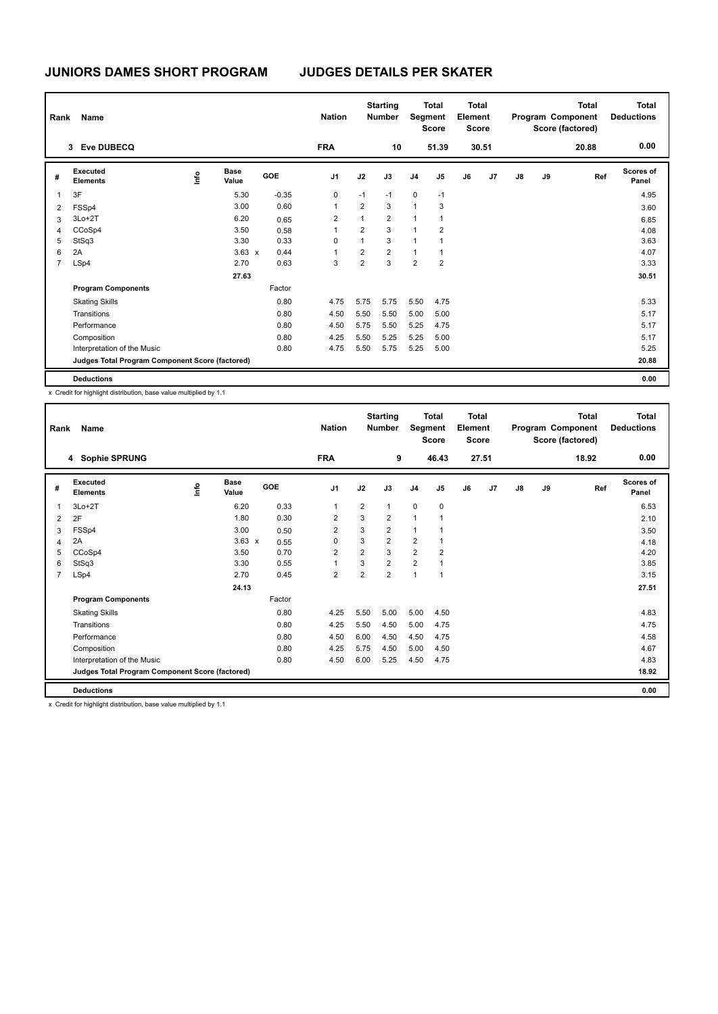| Rank           | Name                                            |      |                      |         | <b>Nation</b>  |                | <b>Starting</b><br><b>Number</b> |                | <b>Total</b><br>Segment<br><b>Score</b> | <b>Total</b><br>Element<br><b>Score</b> |                |    |    | <b>Total</b><br>Program Component<br>Score (factored) | <b>Total</b><br><b>Deductions</b> |
|----------------|-------------------------------------------------|------|----------------------|---------|----------------|----------------|----------------------------------|----------------|-----------------------------------------|-----------------------------------------|----------------|----|----|-------------------------------------------------------|-----------------------------------|
|                | <b>Eve DUBECQ</b><br>3                          |      |                      |         | <b>FRA</b>     |                | 10                               |                | 51.39                                   |                                         | 30.51          |    |    | 20.88                                                 | 0.00                              |
| #              | Executed<br><b>Elements</b>                     | ١nf٥ | <b>Base</b><br>Value | GOE     | J <sub>1</sub> | J2             | J3                               | J <sub>4</sub> | J <sub>5</sub>                          | J6                                      | J <sub>7</sub> | J8 | J9 | Ref                                                   | Scores of<br>Panel                |
| 1              | 3F                                              |      | 5.30                 | $-0.35$ | 0              | $-1$           | $-1$                             | $\pmb{0}$      | $-1$                                    |                                         |                |    |    |                                                       | 4.95                              |
| 2              | FSSp4                                           |      | 3.00                 | 0.60    | 1              | $\overline{2}$ | 3                                | $\mathbf{1}$   | 3                                       |                                         |                |    |    |                                                       | 3.60                              |
| 3              | $3Lo+2T$                                        |      | 6.20                 | 0.65    | $\overline{2}$ | $\mathbf{1}$   | $\overline{2}$                   | 1              | 1                                       |                                         |                |    |    |                                                       | 6.85                              |
| 4              | CCoSp4                                          |      | 3.50                 | 0.58    | 1              | $\overline{2}$ | 3                                | $\overline{1}$ | $\overline{2}$                          |                                         |                |    |    |                                                       | 4.08                              |
| 5              | StSq3                                           |      | 3.30                 | 0.33    | 0              | $\mathbf{1}$   | 3                                | 1              | 1                                       |                                         |                |    |    |                                                       | 3.63                              |
| 6              | 2A                                              |      | $3.63 \times$        | 0.44    | 1              | $\overline{2}$ | $\overline{2}$                   | 1              | 1                                       |                                         |                |    |    |                                                       | 4.07                              |
| $\overline{7}$ | LSp4                                            |      | 2.70                 | 0.63    | 3              | $\overline{2}$ | 3                                | $\overline{2}$ | $\overline{2}$                          |                                         |                |    |    |                                                       | 3.33                              |
|                |                                                 |      | 27.63                |         |                |                |                                  |                |                                         |                                         |                |    |    |                                                       | 30.51                             |
|                | <b>Program Components</b>                       |      |                      | Factor  |                |                |                                  |                |                                         |                                         |                |    |    |                                                       |                                   |
|                | <b>Skating Skills</b>                           |      |                      | 0.80    | 4.75           | 5.75           | 5.75                             | 5.50           | 4.75                                    |                                         |                |    |    |                                                       | 5.33                              |
|                | Transitions                                     |      |                      | 0.80    | 4.50           | 5.50           | 5.50                             | 5.00           | 5.00                                    |                                         |                |    |    |                                                       | 5.17                              |
|                | Performance                                     |      |                      | 0.80    | 4.50           | 5.75           | 5.50                             | 5.25           | 4.75                                    |                                         |                |    |    |                                                       | 5.17                              |
|                | Composition                                     |      |                      | 0.80    | 4.25           | 5.50           | 5.25                             | 5.25           | 5.00                                    |                                         |                |    |    |                                                       | 5.17                              |
|                | Interpretation of the Music                     |      |                      | 0.80    | 4.75           | 5.50           | 5.75                             | 5.25           | 5.00                                    |                                         |                |    |    |                                                       | 5.25                              |
|                | Judges Total Program Component Score (factored) |      |                      |         |                |                |                                  |                |                                         |                                         |                |    |    |                                                       | 20.88                             |
|                | <b>Deductions</b>                               |      |                      |         |                |                |                                  |                |                                         |                                         |                |    |    |                                                       | 0.00                              |

x Credit for highlight distribution, base value multiplied by 1.1

| Rank           | Name                                            |    |                      |            | <b>Nation</b>  |                | <b>Starting</b><br>Number | Segment        | <b>Total</b><br><b>Score</b> | <b>Total</b><br>Element<br><b>Score</b> |                |    |    | <b>Total</b><br>Program Component<br>Score (factored) | <b>Total</b><br><b>Deductions</b> |
|----------------|-------------------------------------------------|----|----------------------|------------|----------------|----------------|---------------------------|----------------|------------------------------|-----------------------------------------|----------------|----|----|-------------------------------------------------------|-----------------------------------|
|                | 4 Sophie SPRUNG                                 |    |                      |            | <b>FRA</b>     |                | 9                         |                | 46.43                        |                                         | 27.51          |    |    | 18.92                                                 | 0.00                              |
| #              | Executed<br><b>Elements</b>                     | ١m | <b>Base</b><br>Value | <b>GOE</b> | J <sub>1</sub> | J2             | J3                        | J <sub>4</sub> | J <sub>5</sub>               | J6                                      | J <sub>7</sub> | J8 | J9 | Ref                                                   | Scores of<br>Panel                |
| $\overline{1}$ | $3Lo+2T$                                        |    | 6.20                 | 0.33       | $\overline{1}$ | $\overline{2}$ | $\mathbf{1}$              | $\mathbf 0$    | $\pmb{0}$                    |                                         |                |    |    |                                                       | 6.53                              |
| $\overline{2}$ | 2F                                              |    | 1.80                 | 0.30       | $\overline{2}$ | 3              | $\overline{2}$            | $\mathbf{1}$   | $\overline{1}$               |                                         |                |    |    |                                                       | 2.10                              |
| 3              | FSSp4                                           |    | 3.00                 | 0.50       | $\overline{2}$ | 3              | $\overline{2}$            | 1              |                              |                                         |                |    |    |                                                       | 3.50                              |
| $\overline{4}$ | 2A                                              |    | $3.63 \times$        | 0.55       | $\Omega$       | 3              | $\overline{2}$            | $\overline{2}$ | 1                            |                                         |                |    |    |                                                       | 4.18                              |
| 5              | CCoSp4                                          |    | 3.50                 | 0.70       | $\overline{2}$ | $\overline{2}$ | 3                         | $\overline{2}$ | $\overline{2}$               |                                         |                |    |    |                                                       | 4.20                              |
| 6              | StSq3                                           |    | 3.30                 | 0.55       | $\overline{1}$ | 3              | $\overline{2}$            | $\overline{2}$ | 1                            |                                         |                |    |    |                                                       | 3.85                              |
| $\overline{7}$ | LSp4                                            |    | 2.70                 | 0.45       | $\overline{2}$ | $\overline{2}$ | $\overline{2}$            | $\overline{1}$ | $\overline{1}$               |                                         |                |    |    |                                                       | 3.15                              |
|                |                                                 |    | 24.13                |            |                |                |                           |                |                              |                                         |                |    |    |                                                       | 27.51                             |
|                | <b>Program Components</b>                       |    |                      | Factor     |                |                |                           |                |                              |                                         |                |    |    |                                                       |                                   |
|                | <b>Skating Skills</b>                           |    |                      | 0.80       | 4.25           | 5.50           | 5.00                      | 5.00           | 4.50                         |                                         |                |    |    |                                                       | 4.83                              |
|                | Transitions                                     |    |                      | 0.80       | 4.25           | 5.50           | 4.50                      | 5.00           | 4.75                         |                                         |                |    |    |                                                       | 4.75                              |
|                | Performance                                     |    |                      | 0.80       | 4.50           | 6.00           | 4.50                      | 4.50           | 4.75                         |                                         |                |    |    |                                                       | 4.58                              |
|                | Composition                                     |    |                      | 0.80       | 4.25           | 5.75           | 4.50                      | 5.00           | 4.50                         |                                         |                |    |    |                                                       | 4.67                              |
|                | Interpretation of the Music                     |    |                      | 0.80       | 4.50           | 6.00           | 5.25                      | 4.50           | 4.75                         |                                         |                |    |    |                                                       | 4.83                              |
|                | Judges Total Program Component Score (factored) |    |                      |            |                |                |                           |                |                              |                                         |                |    |    |                                                       | 18.92                             |
|                | <b>Deductions</b>                               |    |                      |            |                |                |                           |                |                              |                                         |                |    |    |                                                       | 0.00                              |

x Credit for highlight distribution, base value multiplied by 1.1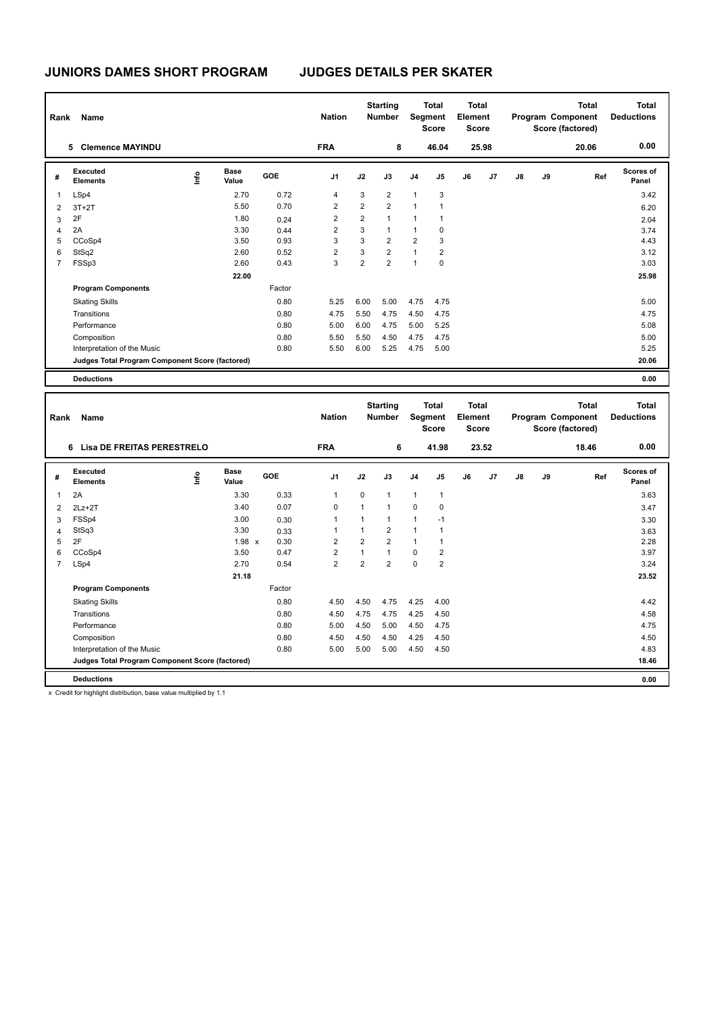| Rank           | Name                                            |      |                      |            | <b>Nation</b>  |                | <b>Starting</b><br><b>Number</b> | Segment        | <b>Total</b><br><b>Score</b> | <b>Total</b><br>Element<br><b>Score</b> |       |    |    | <b>Total</b><br>Program Component<br>Score (factored) | <b>Total</b><br><b>Deductions</b> |
|----------------|-------------------------------------------------|------|----------------------|------------|----------------|----------------|----------------------------------|----------------|------------------------------|-----------------------------------------|-------|----|----|-------------------------------------------------------|-----------------------------------|
|                | <b>Clemence MAYINDU</b><br>5                    |      |                      |            | <b>FRA</b>     |                | 8                                |                | 46.04                        |                                         | 25.98 |    |    | 20.06                                                 | 0.00                              |
| #              | Executed<br><b>Elements</b>                     | ١nfo | <b>Base</b><br>Value | <b>GOE</b> | J <sub>1</sub> | J2             | J3                               | J <sub>4</sub> | J <sub>5</sub>               | J6                                      | J7    | J8 | J9 | Ref                                                   | Scores of<br>Panel                |
| 1              | LSp4                                            |      | 2.70                 | 0.72       | $\overline{4}$ | 3              | $\overline{2}$                   | $\mathbf{1}$   | 3                            |                                         |       |    |    |                                                       | 3.42                              |
| 2              | $3T+2T$                                         |      | 5.50                 | 0.70       | $\overline{2}$ | $\overline{2}$ | $\overline{2}$                   | $\mathbf{1}$   | 1                            |                                         |       |    |    |                                                       | 6.20                              |
| 3              | 2F                                              |      | 1.80                 | 0.24       | 2              | $\overline{2}$ | $\mathbf{1}$                     | $\mathbf{1}$   | 1                            |                                         |       |    |    |                                                       | 2.04                              |
| $\overline{4}$ | 2A                                              |      | 3.30                 | 0.44       | $\overline{2}$ | 3              | $\mathbf{1}$                     | $\mathbf{1}$   | 0                            |                                         |       |    |    |                                                       | 3.74                              |
| 5              | CCoSp4                                          |      | 3.50                 | 0.93       | 3              | 3              | 2                                | $\overline{2}$ | 3                            |                                         |       |    |    |                                                       | 4.43                              |
| 6              | StSq2                                           |      | 2.60                 | 0.52       | $\overline{2}$ | 3              | $\overline{2}$                   | $\mathbf{1}$   | 2                            |                                         |       |    |    |                                                       | 3.12                              |
| 7              | FSSp3                                           |      | 2.60                 | 0.43       | 3              | $\overline{2}$ | $\overline{2}$                   | $\mathbf{1}$   | 0                            |                                         |       |    |    |                                                       | 3.03                              |
|                |                                                 |      | 22.00                |            |                |                |                                  |                |                              |                                         |       |    |    |                                                       | 25.98                             |
|                | <b>Program Components</b>                       |      |                      | Factor     |                |                |                                  |                |                              |                                         |       |    |    |                                                       |                                   |
|                | <b>Skating Skills</b>                           |      |                      | 0.80       | 5.25           | 6.00           | 5.00                             | 4.75           | 4.75                         |                                         |       |    |    |                                                       | 5.00                              |
|                | Transitions                                     |      |                      | 0.80       | 4.75           | 5.50           | 4.75                             | 4.50           | 4.75                         |                                         |       |    |    |                                                       | 4.75                              |
|                | Performance                                     |      |                      | 0.80       | 5.00           | 6.00           | 4.75                             | 5.00           | 5.25                         |                                         |       |    |    |                                                       | 5.08                              |
|                | Composition                                     |      |                      | 0.80       | 5.50           | 5.50           | 4.50                             | 4.75           | 4.75                         |                                         |       |    |    |                                                       | 5.00                              |
|                | Interpretation of the Music                     |      |                      | 0.80       | 5.50           | 6.00           | 5.25                             | 4.75           | 5.00                         |                                         |       |    |    |                                                       | 5.25                              |
|                | Judges Total Program Component Score (factored) |      |                      |            |                |                |                                  |                |                              |                                         |       |    |    |                                                       | 20.06                             |
|                | <b>Deductions</b>                               |      |                      |            |                |                |                                  |                |                              |                                         |       |    |    |                                                       | 0.00                              |

| Rank           | Name                                            |      |                      |        | <b>Nation</b>  |                | <b>Starting</b><br><b>Number</b> | Segment        | <b>Total</b><br><b>Score</b> | <b>Total</b><br>Element<br><b>Score</b> |       |    |    | <b>Total</b><br>Program Component<br>Score (factored) | <b>Total</b><br><b>Deductions</b> |
|----------------|-------------------------------------------------|------|----------------------|--------|----------------|----------------|----------------------------------|----------------|------------------------------|-----------------------------------------|-------|----|----|-------------------------------------------------------|-----------------------------------|
|                | Lisa DE FREITAS PERESTRELO<br>6                 |      |                      |        | <b>FRA</b>     |                | 6                                |                | 41.98                        |                                         | 23.52 |    |    | 18.46                                                 | 0.00                              |
| #              | Executed<br><b>Elements</b>                     | ١nf٥ | <b>Base</b><br>Value | GOE    | J <sub>1</sub> | J2             | J3                               | J <sub>4</sub> | J <sub>5</sub>               | J6                                      | J7    | J8 | J9 | Ref                                                   | <b>Scores of</b><br>Panel         |
| 1              | 2A                                              |      | 3.30                 | 0.33   | -1             | 0              | $\mathbf{1}$                     | $\mathbf{1}$   | $\mathbf{1}$                 |                                         |       |    |    |                                                       | 3.63                              |
| $\overline{2}$ | $2Lz+2T$                                        |      | 3.40                 | 0.07   | $\Omega$       | 1              | 1                                | $\Omega$       | $\mathbf 0$                  |                                         |       |    |    |                                                       | 3.47                              |
| 3              | FSSp4                                           |      | 3.00                 | 0.30   | -1             | $\mathbf{1}$   | 1                                | 1              | $-1$                         |                                         |       |    |    |                                                       | 3.30                              |
| 4              | StSq3                                           |      | 3.30                 | 0.33   |                |                | $\overline{2}$                   | 1              | 1                            |                                         |       |    |    |                                                       | 3.63                              |
| 5              | 2F                                              |      | 1.98 x               | 0.30   | $\overline{2}$ | $\overline{2}$ | $\overline{2}$                   | $\mathbf{1}$   |                              |                                         |       |    |    |                                                       | 2.28                              |
| 6              | CCoSp4                                          |      | 3.50                 | 0.47   | $\overline{2}$ | 1              | $\overline{1}$                   | $\mathbf 0$    | $\overline{2}$               |                                         |       |    |    |                                                       | 3.97                              |
| $\overline{7}$ | LSp4                                            |      | 2.70                 | 0.54   | $\overline{2}$ | $\overline{2}$ | $\overline{2}$                   | $\mathbf 0$    | $\overline{2}$               |                                         |       |    |    |                                                       | 3.24                              |
|                |                                                 |      | 21.18                |        |                |                |                                  |                |                              |                                         |       |    |    |                                                       | 23.52                             |
|                | <b>Program Components</b>                       |      |                      | Factor |                |                |                                  |                |                              |                                         |       |    |    |                                                       |                                   |
|                | <b>Skating Skills</b>                           |      |                      | 0.80   | 4.50           | 4.50           | 4.75                             | 4.25           | 4.00                         |                                         |       |    |    |                                                       | 4.42                              |
|                | Transitions                                     |      |                      | 0.80   | 4.50           | 4.75           | 4.75                             | 4.25           | 4.50                         |                                         |       |    |    |                                                       | 4.58                              |
|                | Performance                                     |      |                      | 0.80   | 5.00           | 4.50           | 5.00                             | 4.50           | 4.75                         |                                         |       |    |    |                                                       | 4.75                              |
|                | Composition                                     |      |                      | 0.80   | 4.50           | 4.50           | 4.50                             | 4.25           | 4.50                         |                                         |       |    |    |                                                       | 4.50                              |
|                | Interpretation of the Music                     |      |                      | 0.80   | 5.00           | 5.00           | 5.00                             | 4.50           | 4.50                         |                                         |       |    |    |                                                       | 4.83                              |
|                | Judges Total Program Component Score (factored) |      |                      |        |                |                |                                  |                |                              |                                         |       |    |    |                                                       | 18.46                             |
|                | <b>Deductions</b>                               |      |                      |        |                |                |                                  |                |                              |                                         |       |    |    |                                                       | 0.00                              |

x Credit for highlight distribution, base value multiplied by 1.1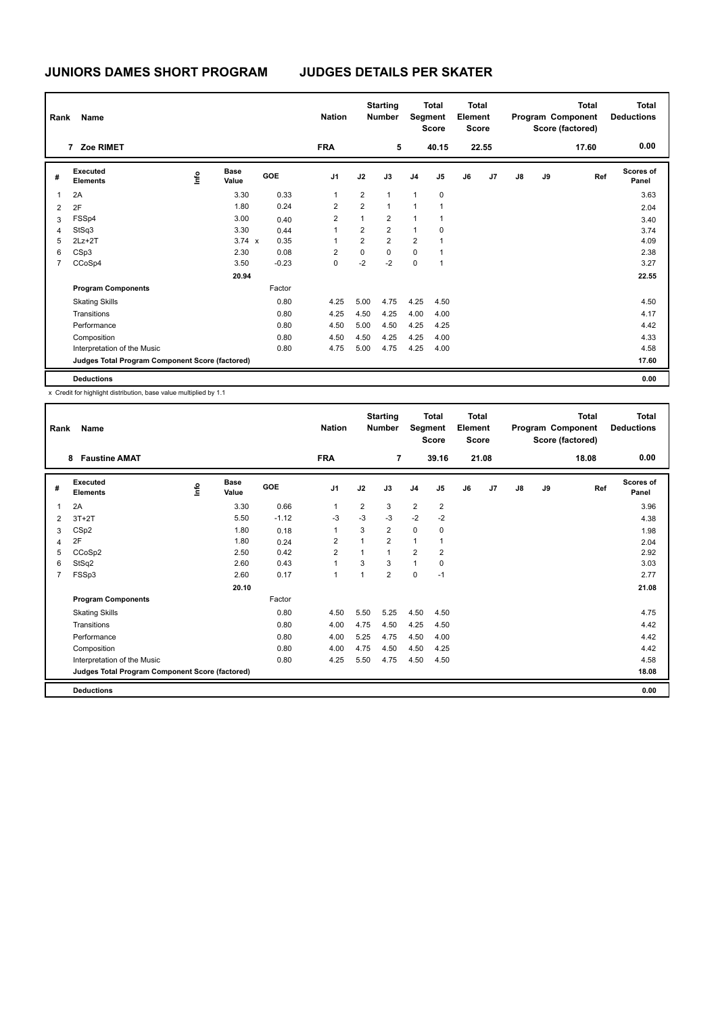| Rank           | Name                                            |                |                      |            | <b>Nation</b>  |                | <b>Starting</b><br><b>Number</b> |                | <b>Total</b><br>Segment<br><b>Score</b> | <b>Total</b><br>Element<br><b>Score</b> |       |    |    | Total<br>Program Component<br>Score (factored) | <b>Total</b><br><b>Deductions</b> |
|----------------|-------------------------------------------------|----------------|----------------------|------------|----------------|----------------|----------------------------------|----------------|-----------------------------------------|-----------------------------------------|-------|----|----|------------------------------------------------|-----------------------------------|
|                | 7 Zoe RIMET                                     |                |                      |            | <b>FRA</b>     |                | 5                                |                | 40.15                                   |                                         | 22.55 |    |    | 17.60                                          | 0.00                              |
| #              | Executed<br><b>Elements</b>                     | $\frac{6}{10}$ | <b>Base</b><br>Value | <b>GOE</b> | J <sub>1</sub> | J2             | J3                               | J <sub>4</sub> | J5                                      | J6                                      | J7    | J8 | J9 | Ref                                            | Scores of<br>Panel                |
| $\overline{1}$ | 2A                                              |                | 3.30                 | 0.33       | 1              | 2              | $\mathbf{1}$                     | $\mathbf{1}$   | $\mathbf 0$                             |                                         |       |    |    |                                                | 3.63                              |
| $\overline{2}$ | 2F                                              |                | 1.80                 | 0.24       | $\overline{2}$ | $\overline{2}$ | $\mathbf{1}$                     | $\overline{1}$ | $\overline{1}$                          |                                         |       |    |    |                                                | 2.04                              |
| 3              | FSSp4                                           |                | 3.00                 | 0.40       | $\overline{2}$ | $\mathbf{1}$   | $\overline{2}$                   | 1              | -1                                      |                                         |       |    |    |                                                | 3.40                              |
| 4              | StSq3                                           |                | 3.30                 | 0.44       | 1              | $\overline{2}$ | $\overline{2}$                   | 1              | 0                                       |                                         |       |    |    |                                                | 3.74                              |
| 5              | $2Lz+2T$                                        |                | $3.74 \times$        | 0.35       | 1              | $\overline{2}$ | $\overline{2}$                   | $\overline{2}$ | 1                                       |                                         |       |    |    |                                                | 4.09                              |
| 6              | CSp3                                            |                | 2.30                 | 0.08       | $\overline{2}$ | 0              | $\mathbf 0$                      | $\mathbf 0$    | $\overline{1}$                          |                                         |       |    |    |                                                | 2.38                              |
| 7              | CCoSp4                                          |                | 3.50                 | $-0.23$    | 0              | $-2$           | $-2$                             | $\mathbf 0$    | $\overline{1}$                          |                                         |       |    |    |                                                | 3.27                              |
|                |                                                 |                | 20.94                |            |                |                |                                  |                |                                         |                                         |       |    |    |                                                | 22.55                             |
|                | <b>Program Components</b>                       |                |                      | Factor     |                |                |                                  |                |                                         |                                         |       |    |    |                                                |                                   |
|                | <b>Skating Skills</b>                           |                |                      | 0.80       | 4.25           | 5.00           | 4.75                             | 4.25           | 4.50                                    |                                         |       |    |    |                                                | 4.50                              |
|                | Transitions                                     |                |                      | 0.80       | 4.25           | 4.50           | 4.25                             | 4.00           | 4.00                                    |                                         |       |    |    |                                                | 4.17                              |
|                | Performance                                     |                |                      | 0.80       | 4.50           | 5.00           | 4.50                             | 4.25           | 4.25                                    |                                         |       |    |    |                                                | 4.42                              |
|                | Composition                                     |                |                      | 0.80       | 4.50           | 4.50           | 4.25                             | 4.25           | 4.00                                    |                                         |       |    |    |                                                | 4.33                              |
|                | Interpretation of the Music                     |                |                      | 0.80       | 4.75           | 5.00           | 4.75                             | 4.25           | 4.00                                    |                                         |       |    |    |                                                | 4.58                              |
|                | Judges Total Program Component Score (factored) |                |                      |            |                |                |                                  |                |                                         |                                         |       |    |    |                                                | 17.60                             |
|                | <b>Deductions</b>                               |                |                      |            |                |                |                                  |                |                                         |                                         |       |    |    |                                                | 0.00                              |

x Credit for highlight distribution, base value multiplied by 1.1

| Rank           | Name<br><b>Faustine AMAT</b><br>8               |      |                      |            | <b>Nation</b>  |      | <b>Starting</b><br><b>Number</b> | Segment        | <b>Total</b><br><b>Score</b> | <b>Total</b><br>Element<br><b>Score</b> |       |               |    | <b>Total</b><br>Program Component<br>Score (factored) | <b>Total</b><br><b>Deductions</b> |
|----------------|-------------------------------------------------|------|----------------------|------------|----------------|------|----------------------------------|----------------|------------------------------|-----------------------------------------|-------|---------------|----|-------------------------------------------------------|-----------------------------------|
|                |                                                 |      |                      |            | <b>FRA</b>     |      | $\overline{7}$                   |                | 39.16                        |                                         | 21.08 |               |    | 18.08                                                 | 0.00                              |
| #              | Executed<br><b>Elements</b>                     | lnfo | <b>Base</b><br>Value | <b>GOE</b> | J <sub>1</sub> | J2   | J3                               | J <sub>4</sub> | J5                           | J6                                      | J7    | $\mathsf{J}8$ | J9 | Ref                                                   | Scores of<br>Panel                |
| $\overline{1}$ | 2A                                              |      | 3.30                 | 0.66       | $\overline{1}$ | 2    | 3                                | 2              | $\overline{2}$               |                                         |       |               |    |                                                       | 3.96                              |
| $\overline{2}$ | $3T+2T$                                         |      | 5.50                 | $-1.12$    | $-3$           | $-3$ | $-3$                             | $-2$           | $-2$                         |                                         |       |               |    |                                                       | 4.38                              |
| 3              | CS <sub>p2</sub>                                |      | 1.80                 | 0.18       | $\overline{1}$ | 3    | $\overline{2}$                   | $\mathbf 0$    | 0                            |                                         |       |               |    |                                                       | 1.98                              |
| 4              | 2F                                              |      | 1.80                 | 0.24       | $\overline{2}$ |      | $\overline{2}$                   | $\mathbf{1}$   |                              |                                         |       |               |    |                                                       | 2.04                              |
| 5              | CCoSp2                                          |      | 2.50                 | 0.42       | $\overline{2}$ |      | $\mathbf{1}$                     | $\overline{2}$ | $\overline{2}$               |                                         |       |               |    |                                                       | 2.92                              |
| 6              | StSq2                                           |      | 2.60                 | 0.43       | 1              | 3    | 3                                | $\mathbf{1}$   | 0                            |                                         |       |               |    |                                                       | 3.03                              |
| $\overline{7}$ | FSSp3                                           |      | 2.60                 | 0.17       | $\overline{1}$ | 1    | $\overline{2}$                   | $\mathbf 0$    | $-1$                         |                                         |       |               |    |                                                       | 2.77                              |
|                |                                                 |      | 20.10                |            |                |      |                                  |                |                              |                                         |       |               |    |                                                       | 21.08                             |
|                | <b>Program Components</b>                       |      |                      | Factor     |                |      |                                  |                |                              |                                         |       |               |    |                                                       |                                   |
|                | <b>Skating Skills</b>                           |      |                      | 0.80       | 4.50           | 5.50 | 5.25                             | 4.50           | 4.50                         |                                         |       |               |    |                                                       | 4.75                              |
|                | Transitions                                     |      |                      | 0.80       | 4.00           | 4.75 | 4.50                             | 4.25           | 4.50                         |                                         |       |               |    |                                                       | 4.42                              |
|                | Performance                                     |      |                      | 0.80       | 4.00           | 5.25 | 4.75                             | 4.50           | 4.00                         |                                         |       |               |    |                                                       | 4.42                              |
|                | Composition                                     |      |                      | 0.80       | 4.00           | 4.75 | 4.50                             | 4.50           | 4.25                         |                                         |       |               |    |                                                       | 4.42                              |
|                | Interpretation of the Music                     |      |                      | 0.80       | 4.25           | 5.50 | 4.75                             | 4.50           | 4.50                         |                                         |       |               |    |                                                       | 4.58                              |
|                | Judges Total Program Component Score (factored) |      |                      |            |                |      |                                  |                |                              |                                         |       |               |    |                                                       | 18.08                             |
|                | <b>Deductions</b>                               |      |                      |            |                |      |                                  |                |                              |                                         |       |               |    |                                                       | 0.00                              |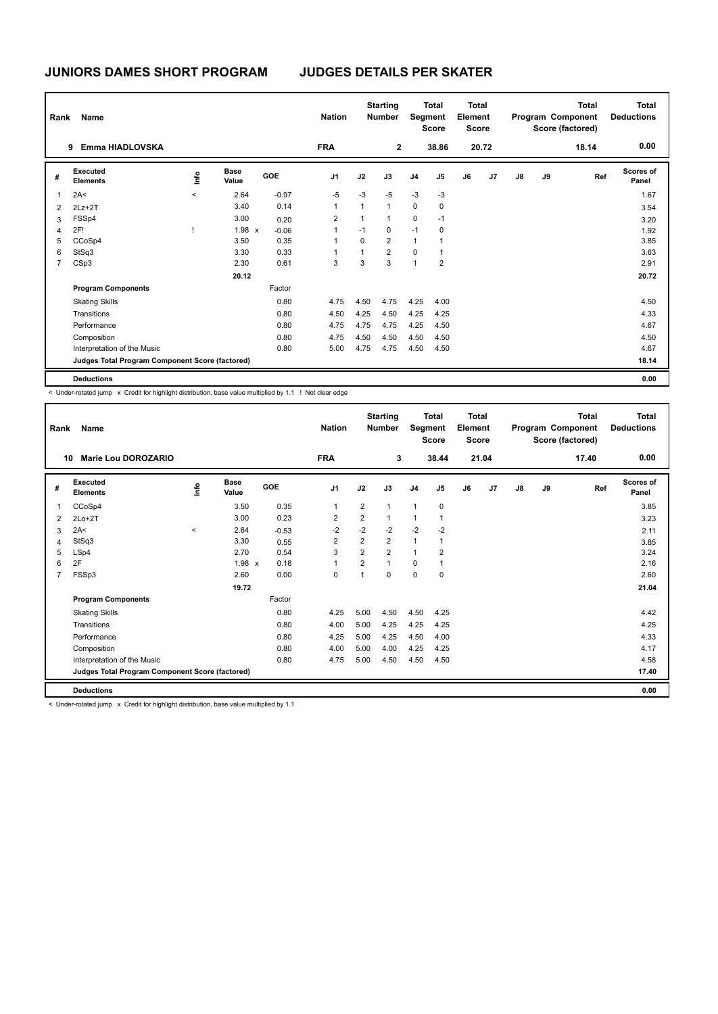| Rank           | Name                                            |         |                      |         | <b>Nation</b>  |              | <b>Starting</b><br><b>Number</b> |                | Total<br>Segment<br><b>Score</b> | Total<br>Element<br><b>Score</b> |       |    |    | <b>Total</b><br>Program Component<br>Score (factored) | <b>Total</b><br><b>Deductions</b> |
|----------------|-------------------------------------------------|---------|----------------------|---------|----------------|--------------|----------------------------------|----------------|----------------------------------|----------------------------------|-------|----|----|-------------------------------------------------------|-----------------------------------|
|                | Emma HIADLOVSKA<br>9                            |         |                      |         | <b>FRA</b>     |              | $\overline{2}$                   |                | 38.86                            |                                  | 20.72 |    |    | 18.14                                                 | 0.00                              |
| #              | Executed<br><b>Elements</b>                     | ۴ů      | <b>Base</b><br>Value | GOE     | J <sub>1</sub> | J2           | J3                               | J <sub>4</sub> | J <sub>5</sub>                   | J6                               | J7    | J8 | J9 | Ref                                                   | <b>Scores of</b><br>Panel         |
| 1              | 2A<                                             | $\prec$ | 2.64                 | $-0.97$ | $-5$           | $-3$         | $-5$                             | $-3$           | $-3$                             |                                  |       |    |    |                                                       | 1.67                              |
| 2              | $2Lz+2T$                                        |         | 3.40                 | 0.14    | 1              | $\mathbf{1}$ | $\mathbf{1}$                     | $\mathbf 0$    | 0                                |                                  |       |    |    |                                                       | 3.54                              |
| 3              | FSSp4                                           |         | 3.00                 | 0.20    | 2              | 1            | $\mathbf{1}$                     | $\mathbf 0$    | $-1$                             |                                  |       |    |    |                                                       | 3.20                              |
| 4              | 2F!                                             |         | $1.98 \times$        | $-0.06$ | 1              | $-1$         | 0                                | $-1$           | 0                                |                                  |       |    |    |                                                       | 1.92                              |
| 5              | CCoSp4                                          |         | 3.50                 | 0.35    | 1              | $\Omega$     | $\overline{2}$                   | $\mathbf{1}$   | 1                                |                                  |       |    |    |                                                       | 3.85                              |
| 6              | StSq3                                           |         | 3.30                 | 0.33    |                | $\mathbf{1}$ | $\overline{2}$                   | $\mathbf 0$    | 1                                |                                  |       |    |    |                                                       | 3.63                              |
| $\overline{7}$ | CSp3                                            |         | 2.30                 | 0.61    | 3              | 3            | 3                                | $\overline{1}$ | $\overline{2}$                   |                                  |       |    |    |                                                       | 2.91                              |
|                |                                                 |         | 20.12                |         |                |              |                                  |                |                                  |                                  |       |    |    |                                                       | 20.72                             |
|                | <b>Program Components</b>                       |         |                      | Factor  |                |              |                                  |                |                                  |                                  |       |    |    |                                                       |                                   |
|                | <b>Skating Skills</b>                           |         |                      | 0.80    | 4.75           | 4.50         | 4.75                             | 4.25           | 4.00                             |                                  |       |    |    |                                                       | 4.50                              |
|                | Transitions                                     |         |                      | 0.80    | 4.50           | 4.25         | 4.50                             | 4.25           | 4.25                             |                                  |       |    |    |                                                       | 4.33                              |
|                | Performance                                     |         |                      | 0.80    | 4.75           | 4.75         | 4.75                             | 4.25           | 4.50                             |                                  |       |    |    |                                                       | 4.67                              |
|                | Composition                                     |         |                      | 0.80    | 4.75           | 4.50         | 4.50                             | 4.50           | 4.50                             |                                  |       |    |    |                                                       | 4.50                              |
|                | Interpretation of the Music                     |         |                      | 0.80    | 5.00           | 4.75         | 4.75                             | 4.50           | 4.50                             |                                  |       |    |    |                                                       | 4.67                              |
|                | Judges Total Program Component Score (factored) |         |                      |         |                |              |                                  |                |                                  |                                  |       |    |    |                                                       | 18.14                             |
|                | <b>Deductions</b>                               |         |                      |         |                |              |                                  |                |                                  |                                  |       |    |    |                                                       | 0.00                              |

< Under-rotated jump x Credit for highlight distribution, base value multiplied by 1.1 ! Not clear edge

| Rank           | <b>Name</b>                                     |       |                      |            | <b>Nation</b>  |                | <b>Starting</b><br>Number |                | <b>Total</b><br>Segment<br><b>Score</b> | <b>Total</b><br>Element<br><b>Score</b> |       |               |    | <b>Total</b><br>Program Component<br>Score (factored) | <b>Total</b><br><b>Deductions</b> |
|----------------|-------------------------------------------------|-------|----------------------|------------|----------------|----------------|---------------------------|----------------|-----------------------------------------|-----------------------------------------|-------|---------------|----|-------------------------------------------------------|-----------------------------------|
|                | Marie Lou DOROZARIO<br>10                       |       |                      |            | <b>FRA</b>     |                | 3                         |                | 38.44                                   |                                         | 21.04 |               |    | 17.40                                                 | 0.00                              |
| #              | Executed<br><b>Elements</b>                     | ١m    | <b>Base</b><br>Value | <b>GOE</b> | J <sub>1</sub> | J2             | J3                        | J <sub>4</sub> | J <sub>5</sub>                          | J6                                      | J7    | $\mathsf{J}8$ | J9 | Ref                                                   | Scores of<br>Panel                |
| $\overline{1}$ | CCoSp4                                          |       | 3.50                 | 0.35       | 1              | $\overline{2}$ | $\mathbf{1}$              | $\mathbf{1}$   | $\mathbf 0$                             |                                         |       |               |    |                                                       | 3.85                              |
| 2              | $2Lo+2T$                                        |       | 3.00                 | 0.23       | 2              | $\overline{2}$ | $\mathbf{1}$              | 1              | $\overline{1}$                          |                                         |       |               |    |                                                       | 3.23                              |
| 3              | 2A<                                             | $\,<$ | 2.64                 | $-0.53$    | $-2$           | $-2$           | $-2$                      | $-2$           | $-2$                                    |                                         |       |               |    |                                                       | 2.11                              |
| $\overline{4}$ | StSq3                                           |       | 3.30                 | 0.55       | $\overline{2}$ | $\overline{2}$ | $\overline{2}$            | $\mathbf{1}$   | $\overline{1}$                          |                                         |       |               |    |                                                       | 3.85                              |
| 5              | LSp4                                            |       | 2.70                 | 0.54       | 3              | $\overline{2}$ | $\overline{2}$            | $\mathbf{1}$   | $\overline{2}$                          |                                         |       |               |    |                                                       | 3.24                              |
| 6              | 2F                                              |       | 1.98 x               | 0.18       | 1              | 2              | $\mathbf{1}$              | 0              | $\mathbf 1$                             |                                         |       |               |    |                                                       | 2.16                              |
| $\overline{7}$ | FSSp3                                           |       | 2.60                 | 0.00       | 0              | $\overline{1}$ | 0                         | 0              | 0                                       |                                         |       |               |    |                                                       | 2.60                              |
|                |                                                 |       | 19.72                |            |                |                |                           |                |                                         |                                         |       |               |    |                                                       | 21.04                             |
|                | <b>Program Components</b>                       |       |                      | Factor     |                |                |                           |                |                                         |                                         |       |               |    |                                                       |                                   |
|                | <b>Skating Skills</b>                           |       |                      | 0.80       | 4.25           | 5.00           | 4.50                      | 4.50           | 4.25                                    |                                         |       |               |    |                                                       | 4.42                              |
|                | Transitions                                     |       |                      | 0.80       | 4.00           | 5.00           | 4.25                      | 4.25           | 4.25                                    |                                         |       |               |    |                                                       | 4.25                              |
|                | Performance                                     |       |                      | 0.80       | 4.25           | 5.00           | 4.25                      | 4.50           | 4.00                                    |                                         |       |               |    |                                                       | 4.33                              |
|                | Composition                                     |       |                      | 0.80       | 4.00           | 5.00           | 4.00                      | 4.25           | 4.25                                    |                                         |       |               |    |                                                       | 4.17                              |
|                | Interpretation of the Music                     |       |                      | 0.80       | 4.75           | 5.00           | 4.50                      | 4.50           | 4.50                                    |                                         |       |               |    |                                                       | 4.58                              |
|                | Judges Total Program Component Score (factored) |       |                      |            |                |                |                           |                |                                         |                                         |       |               |    |                                                       | 17.40                             |
|                | <b>Deductions</b>                               |       |                      |            |                |                |                           |                |                                         |                                         |       |               |    |                                                       | 0.00                              |

< Under-rotated jump x Credit for highlight distribution, base value multiplied by 1.1